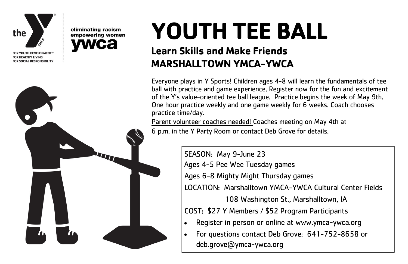

FOR YOUTH DEVELOPMENT® FOR HEALTHY LIVING FOR SOCIAL RESPONSIBILITY



eliminating racism

empowering women

## **YOUTH TEE BALL**

## **Learn Skills and Make Friends MARSHALLTOWN YMCA-YWCA**

Everyone plays in Y Sports! Children ages 4-8 will learn the fundamentals of tee ball with practice and game experience. Register now for the fun and excitement of the Y's value-oriented tee ball league. Practice begins the week of May 9th. One hour practice weekly and one game weekly for 6 weeks. Coach chooses practice time/day.

Parent volunteer coaches needed! Coaches meeting on May 4th at 6 p.m. in the Y Party Room or contact Deb Grove for details.

> SEASON: May 9-June 23 Ages 4-5 Pee Wee Tuesday games Ages 6-8 Mighty Might Thursday games LOCATION: Marshalltown YMCA-YWCA Cultural Center Fields 108 Washington St., Marshalltown, IA COST: \$27 Y Members / \$52 Program Participants • Register in person or online at www.ymca-ywca.org • For questions contact Deb Grove: 641-752-8658 or deb.grove@ymca-ywca.org